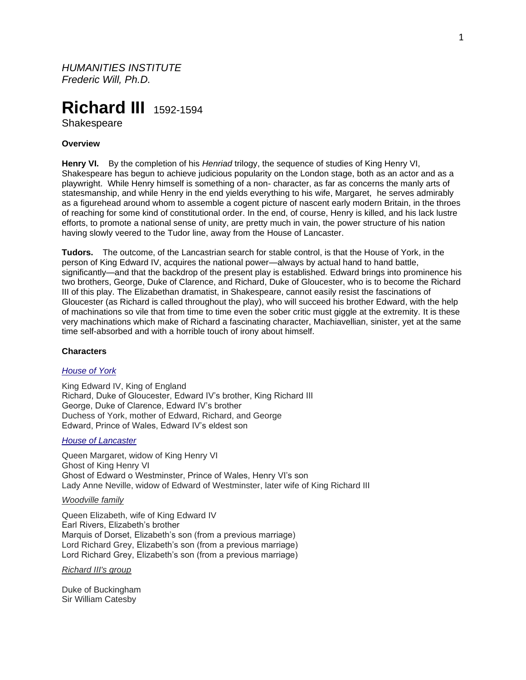*HUMANITIES INSTITUTE Frederic Will, Ph.D.*

# **Richard III** 1592-1594

**Shakespeare** 

## **Overview**

**Henry VI.** By the completion of his *Henriad* trilogy, the sequence of studies of King Henry VI, Shakespeare has begun to achieve judicious popularity on the London stage, both as an actor and as a playwright. While Henry himself is something of a non- character, as far as concerns the manly arts of statesmanship, and while Henry in the end yields everything to his wife, Margaret, he serves admirably as a figurehead around whom to assemble a cogent picture of nascent early modern Britain, in the throes of reaching for some kind of constitutional order. In the end, of course, Henry is killed, and his lack lustre efforts, to promote a national sense of unity, are pretty much in vain, the power structure of his nation having slowly veered to the Tudor line, away from the House of Lancaster.

**Tudors.** The outcome, of the Lancastrian search for stable control, is that the House of York, in the person of King Edward IV, acquires the national power—always by actual hand to hand battle, significantly—and that the backdrop of the present play is established. Edward brings into prominence his two brothers, George, Duke of Clarence, and Richard, Duke of Gloucester, who is to become the Richard III of this play. The Elizabethan dramatist, in Shakespeare, cannot easily resist the fascinations of Gloucester (as Richard is called throughout the play), who will succeed his brother Edward, with the help of machinations so vile that from time to time even the sober critic must giggle at the extremity. It is these very machinations which make of Richard a fascinating character, Machiavellian, sinister, yet at the same time self-absorbed and with a horrible touch of irony about himself.

## **Characters**

#### *[House of York](https://en.wikipedia.org/wiki/House_of_York)*

King Edward IV, King of England Richard, Duke of Gloucester, Edward IV's brother, King Richard III George, Duke of Clarence, Edward IV's brother Duchess of York, mother of Edward, Richard, and George Edward, Prince of Wales, Edward IV's eldest son

## *[House of Lancaster](https://en.wikipedia.org/wiki/House_of_Lancaster)*

Queen Margaret, widow of King Henry VI Ghost of King Henry VI Ghost of Edward o Westminster, Prince of Wales, Henry VI's son Lady Anne Neville, widow of Edward of Westminster, later wife of King Richard III

## *Woodville family*

Queen Elizabeth, wife of King Edward IV Earl Rivers, Elizabeth's brother Marquis of Dorset, Elizabeth's son (from a previous marriage) Lord Richard Grey, Elizabeth's son (from a previous marriage) Lord Richard Grey, Elizabeth's son (from a previous marriage)

*Richard III's group*

Duke of Buckingham Sir William Catesby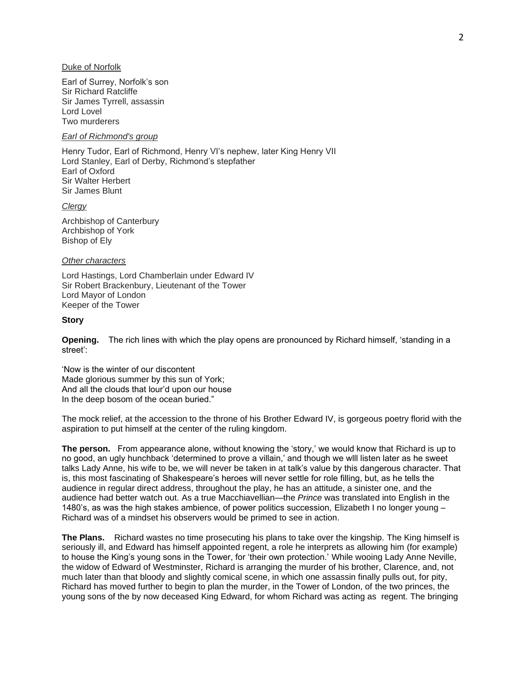## Duke of Norfolk

Earl of Surrey, Norfolk's son Sir Richard Ratcliffe Sir James Tyrrell, assassin Lord Lovel Two murderers

# *Earl of Richmond's group*

Henry Tudor, Earl of Richmond, Henry VI's nephew, later King Henry VII Lord Stanley, Earl of Derby, Richmond's stepfather Earl of Oxford Sir Walter Herbert Sir James Blunt

#### *Clergy*

Archbishop of Canterbury Archbishop of York Bishop of Ely

## *Other characters*

Lord Hastings, Lord Chamberlain under Edward IV Sir Robert Brackenbury, Lieutenant of the Tower Lord Mayor of London Keeper of the Tower

#### **Story**

**Opening.** The rich lines with which the play opens are pronounced by Richard himself, 'standing in a street':

'Now is the winter of our discontent Made glorious summer by this sun of York; And all the clouds that lour'd upon our house In the deep bosom of the ocean buried."

The mock relief, at the accession to the throne of his Brother Edward IV, is gorgeous poetry florid with the aspiration to put himself at the center of the ruling kingdom.

**The person.** From appearance alone, without knowing the 'story,' we would know that Richard is up to no good, an ugly hunchback 'determined to prove a villain,' and though we wlll listen later as he sweet talks Lady Anne, his wife to be, we will never be taken in at talk's value by this dangerous character. That is, this most fascinating of Shakespeare's heroes will never settle for role filling, but, as he tells the audience in regular direct address, throughout the play, he has an attitude, a sinister one, and the audience had better watch out. As a true Macchiavellian—the *Prince* was translated into English in the 1480's, as was the high stakes ambience, of power politics succession, Elizabeth I no longer young – Richard was of a mindset his observers would be primed to see in action.

**The Plans.** Richard wastes no time prosecuting his plans to take over the kingship. The King himself is seriously ill, and Edward has himself appointed regent, a role he interprets as allowing him (for example) to house the King's young sons in the Tower, for 'their own protection.' While wooing Lady Anne Neville, the widow of Edward of Westminster, Richard is arranging the murder of his brother, Clarence, and, not much later than that bloody and slightly comical scene, in which one assassin finally pulls out, for pity, Richard has moved further to begin to plan the murder, in the Tower of London, of the two princes, the young sons of the by now deceased King Edward, for whom Richard was acting as regent. The bringing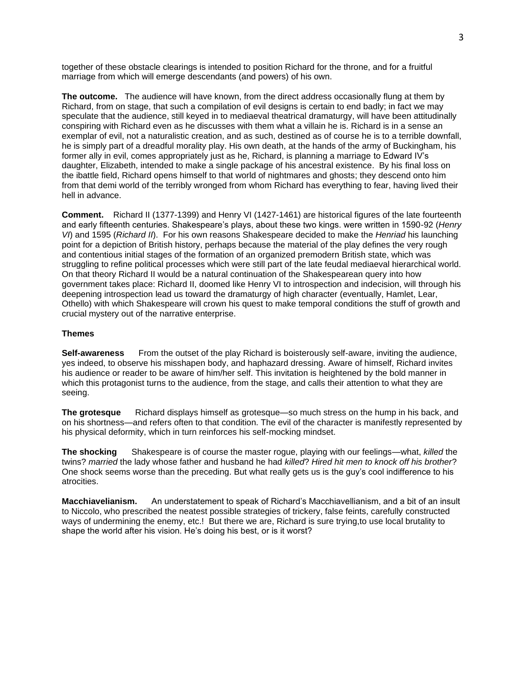together of these obstacle clearings is intended to position Richard for the throne, and for a fruitful marriage from which will emerge descendants (and powers) of his own.

**The outcome.** The audience will have known, from the direct address occasionally flung at them by Richard, from on stage, that such a compilation of evil designs is certain to end badly; in fact we may speculate that the audience, still keyed in to mediaeval theatrical dramaturgy, will have been attitudinally conspiring with Richard even as he discusses with them what a villain he is. Richard is in a sense an exemplar of evil, not a naturalistic creation, and as such, destined as of course he is to a terrible downfall, he is simply part of a dreadful morality play. His own death, at the hands of the army of Buckingham, his former ally in evil, comes appropriately just as he, Richard, is planning a marriage to Edward IV's daughter, Elizabeth, intended to make a single package of his ancestral existence. By his final loss on the ibattle field, Richard opens himself to that world of nightmares and ghosts; they descend onto him from that demi world of the terribly wronged from whom Richard has everything to fear, having lived their hell in advance.

**Comment.** Richard II (1377-1399) and Henry VI (1427-1461) are historical figures of the late fourteenth and early fifteenth centuries. Shakespeare's plays, about these two kings. were written in 1590-92 (*Henry VI*) and 1595 (*Richard II*). For his own reasons Shakespeare decided to make the *Henriad* his launching point for a depiction of British history, perhaps because the material of the play defines the very rough and contentious initial stages of the formation of an organized premodern British state, which was struggling to refine political processes which were still part of the late feudal mediaeval hierarchical world. On that theory Richard II would be a natural continuation of the Shakespearean query into how government takes place: Richard II, doomed like Henry VI to introspection and indecision, will through his deepening introspection lead us toward the dramaturgy of high character (eventually, Hamlet, Lear, Othello) with which Shakespeare will crown his quest to make temporal conditions the stuff of growth and crucial mystery out of the narrative enterprise.

## **Themes**

**Self-awareness** From the outset of the play Richard is boisterously self-aware, inviting the audience, yes indeed, to observe his misshapen body, and haphazard dressing. Aware of himself, Richard invites his audience or reader to be aware of him/her self. This invitation is heightened by the bold manner in which this protagonist turns to the audience, from the stage, and calls their attention to what they are seeing.

**The grotesque** Richard displays himself as grotesque—so much stress on the hump in his back, and on his shortness—and refers often to that condition. The evil of the character is manifestly represented by his physical deformity, which in turn reinforces his self-mocking mindset.

**The shocking** Shakespeare is of course the master rogue, playing with our feelings—what, *killed* the twins? *married* the lady whose father and husband he had *killed*? *Hired hit men to knock off his brother*? One shock seems worse than the preceding. But what really gets us is the guy's cool indifference to his atrocities.

**Macchiavelianism.** An understatement to speak of Richard's Macchiavellianism, and a bit of an insult to Niccolo, who prescribed the neatest possible strategies of trickery, false feints, carefully constructed ways of undermining the enemy, etc.! But there we are, Richard is sure trying,to use local brutality to shape the world after his vision. He's doing his best, or is it worst?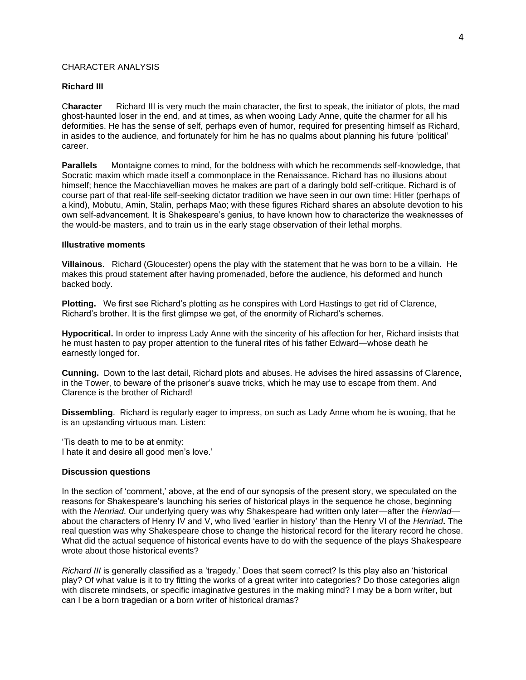# CHARACTER ANALYSIS

## **Richard III**

C**haracter** Richard III is very much the main character, the first to speak, the initiator of plots, the mad ghost-haunted loser in the end, and at times, as when wooing Lady Anne, quite the charmer for all his deformities. He has the sense of self, perhaps even of humor, required for presenting himself as Richard, in asides to the audience, and fortunately for him he has no qualms about planning his future 'political' career.

**Parallels** Montaigne comes to mind, for the boldness with which he recommends self-knowledge, that Socratic maxim which made itself a commonplace in the Renaissance. Richard has no illusions about himself; hence the Macchiavellian moves he makes are part of a daringly bold self-critique. Richard is of course part of that real-life self-seeking dictator tradition we have seen in our own time: Hitler (perhaps of a kind), Mobutu, Amin, Stalin, perhaps Mao; with these figures Richard shares an absolute devotion to his own self-advancement. It is Shakespeare's genius, to have known how to characterize the weaknesses of the would-be masters, and to train us in the early stage observation of their lethal morphs.

## **Illustrative moments**

**Villainous**. Richard (Gloucester) opens the play with the statement that he was born to be a villain. He makes this proud statement after having promenaded, before the audience, his deformed and hunch backed body.

**Plotting.** We first see Richard's plotting as he conspires with Lord Hastings to get rid of Clarence, Richard's brother. It is the first glimpse we get, of the enormity of Richard's schemes.

**Hypocritical.** In order to impress Lady Anne with the sincerity of his affection for her, Richard insists that he must hasten to pay proper attention to the funeral rites of his father Edward—whose death he earnestly longed for.

**Cunning.** Down to the last detail, Richard plots and abuses. He advises the hired assassins of Clarence, in the Tower, to beware of the prisoner's suave tricks, which he may use to escape from them. And Clarence is the brother of Richard!

**Dissembling**. Richard is regularly eager to impress, on such as Lady Anne whom he is wooing, that he is an upstanding virtuous man. Listen:

'Tis death to me to be at enmity: I hate it and desire all good men's love.'

## **Discussion questions**

In the section of 'comment,' above, at the end of our synopsis of the present story, we speculated on the reasons for Shakespeare's launching his series of historical plays in the sequence he chose, beginning with the *Henriad*. Our underlying query was why Shakespeare had written only later—after the *Henriad* about the characters of Henry IV and V, who lived 'earlier in history' than the Henry VI of the *Henriad***.** The real question was why Shakespeare chose to change the historical record for the literary record he chose. What did the actual sequence of historical events have to do with the sequence of the plays Shakespeare wrote about those historical events?

*Richard III* is generally classified as a 'tragedy.' Does that seem correct? Is this play also an 'historical play? Of what value is it to try fitting the works of a great writer into categories? Do those categories align with discrete mindsets, or specific imaginative gestures in the making mind? I may be a born writer, but can I be a born tragedian or a born writer of historical dramas?